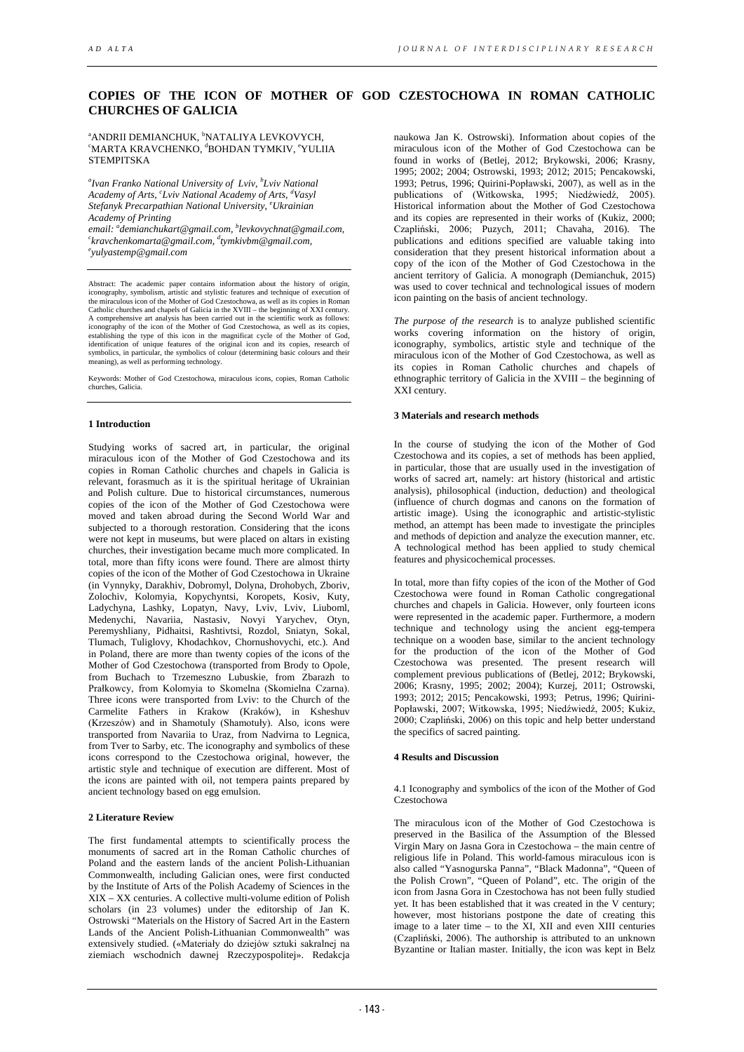# **COPIES OF THE ICON OF MOTHER OF GOD CZESTOCHOWA IN ROMAN CATHOLIC CHURCHES OF GALICIA**

<sup>a</sup>ANDRII DEMIANCHUK, <sup>b</sup> ªANDRII DEMIANCHUK, 'NATALIYA LEVKOVYCH,<br>ʿMARTA KRAVCHENKO, ªBOHDAN TYMKIV, ʿYULIIA STEMPITSKA

*a Ivan Franko National University of Lviv, b Lviv National Academy of Arts, c Lviv National Academy of Arts, d Vasyl Stefanyk Precarpathian National University, e Ukrainian Academy of Printing*

*email: a demianchukart@gmail.com, b levkovychnat@gmail.com, c kravchenkomarta@gmail.com, d tymkivbm@gmail.com, e yulyastemp@gmail.com* 

Abstract: The academic paper contains information about the history of origin, iconography, symbolism, artistic and stylistic features and technique of execution of the miraculous icon of the Mother of God Czestochowa, as well as its copies in Roman Catholic churches and chapels of Galicia in the XVIII – the beginning of XXI century. A comprehensive art analysis has been carried out in the scientific work as follows: iconography of the icon of the Mother of God Czestochowa, as well as its copies, establishing the type of this icon in the magnificat cycle of the Mother of God, identification of unique features of the original icon and its copies, research of symbolics, in particular, the symbolics of colour (determi meaning), as well as performing technology.

Keywords: Mother of God Czestochowa, miraculous icons, copies, Roman Catholic churches, Galicia.

### **1 Introduction**

Studying works of sacred art, in particular, the original miraculous icon of the Mother of God Czestochowa and its copies in Roman Catholic churches and chapels in Galicia is relevant, forasmuch as it is the spiritual heritage of Ukrainian and Polish culture. Due to historical circumstances, numerous copies of the icon of the Mother of God Czestochowa were moved and taken abroad during the Second World War and subjected to a thorough restoration. Considering that the icons were not kept in museums, but were placed on altars in existing churches, their investigation became much more complicated. In total, more than fifty icons were found. There are almost thirty copies of the icon of the Mother of God Czestochowa in Ukraine (in Vynnyky, Darakhiv, Dobromyl, Dolyna, Drohobych, Zboriv, Zolochiv, Kolomyia, Kopychyntsi, Koropets, Kosiv, Kuty, Ladychyna, Lashky, Lopatyn, Navy, Lviv, Lviv, Liuboml, Medenychi, Navariia, Nastasiv, Novyi Yarychev, Otyn, Peremyshliany, Pidhaitsi, Rashtivtsi, Rozdol, Sniatyn, Sokal, Tlumach, Tuliglovy, Khodachkov, Chornushovychi, etc.). And in Poland, there are more than twenty copies of the icons of the Mother of God Czestochowa (transported from Brody to Opole, from Buchach to Trzemeszno Lubuskie, from Zbarazh to Prałkowcy, from Kolomyia to Skomelna (Skomielna Czarna). Three icons were transported from Lviv: to the Church of the Carmelite Fathers in Krakow (Kraków), in Ksheshuv (Krzeszów) and in Shamotuly (Shamotuły). Also, icons were transported from Navariia to Uraz, from Nadvirna to Legnica, from Tver to Sarby, etc. The iconography and symbolics of these icons correspond to the Czestochowa original, however, the artistic style and technique of execution are different. Most of the icons are painted with oil, not tempera paints prepared by ancient technology based on egg emulsion.

#### **2 Literature Review**

The first fundamental attempts to scientifically process the monuments of sacred art in the Roman Catholic churches of Poland and the eastern lands of the ancient Polish-Lithuanian Commonwealth, including Galician ones, were first conducted by the Institute of Arts of the Polish Academy of Sciences in the XIX – XX centuries. A collective multi-volume edition of Polish scholars (in 23 volumes) under the editorship of Jan K. Ostrowski "Materials on the History of Sacred Art in the Eastern Lands of the Ancient Polish-Lithuanian Commonwealth" was extensively studied. («Materiały do dziejów sztuki sakralnej na ziemiach wschodnich dawnej Rzeczypospolitej». Redakcja

naukowa Jan K. Ostrowski). Information about copies of the miraculous icon of the Mother of God Czestochowa can be found in works of (Betlej, 2012; Brykowski, 2006; Krasny, 1995; 2002; 2004; Ostrowski, 1993; 2012; 2015; Pencakowski, 1993; Petrus, 1996; Quirini-Popławski, 2007), as well as in the publications of (Witkowska, 1995; Niedźwiedź, 2005). Historical information about the Mother of God Czestochowa and its copies are represented in their works of (Kukiz, 2000; Czapliński, 2006; Puzych, 2011; Chavaha, 2016). The publications and editions specified are valuable taking into consideration that they present historical information about a copy of the icon of the Mother of God Czestochowa in the ancient territory of Galicia. A monograph (Demianchuk, 2015) was used to cover technical and technological issues of modern icon painting on the basis of ancient technology.

*The purpose of the research* is to analyze published scientific works covering information on the history of origin, iconography, symbolics, artistic style and technique of the miraculous icon of the Mother of God Czestochowa, as well as its copies in Roman Catholic churches and chapels of ethnographic territory of Galicia in the XVIII – the beginning of XXI century.

### **3 Materials and research methods**

In the course of studying the icon of the Mother of God Czestochowa and its copies, a set of methods has been applied, in particular, those that are usually used in the investigation of works of sacred art, namely: art history (historical and artistic analysis), philosophical (induction, deduction) and theological (influence of church dogmas and canons on the formation of artistic image). Using the iconographic and artistic-stylistic method, an attempt has been made to investigate the principles and methods of depiction and analyze the execution manner, etc. A technological method has been applied to study chemical features and physicochemical processes.

In total, more than fifty copies of the icon of the Mother of God Czestochowa were found in Roman Catholic congregational churches and chapels in Galicia. However, only fourteen icons were represented in the academic paper. Furthermore, a modern technique and technology using the ancient egg-tempera technique on a wooden base, similar to the ancient technology for the production of the icon of the Mother of God Czestochowa was presented. The present research will complement previous publications of (Betlej, 2012; Brykowski, 2006; Krasny, 1995; 2002; 2004); Kurzej, 2011; Ostrowski, 1993; 2012; 2015; Pencakowski, 1993; Petrus, 1996; Quirini-Popławski, 2007; Witkowska, 1995; Niedźwiedź, 2005; Kukiz, 2000; Czapliński, 2006) on this topic and help better understand the specifics of sacred painting.

## **4 Results and Discussion**

### 4.1 Iconography and symbolics of the icon of the Mother of God Czestochowa

The miraculous icon of the Mother of God Czestochowa is preserved in the Basilica of the Assumption of the Blessed Virgin Mary on Jasna Gora in Czestochowa – the main centre of religious life in Poland. This world-famous miraculous icon is also called "Yasnogurska Panna", "Black Madonna", "Queen of the Polish Crown", "Queen of Poland", etc. The origin of the icon from Jasna Gora in Czestochowa has not been fully studied yet. It has been established that it was created in the V century; however, most historians postpone the date of creating this image to a later time  $-$  to the XI, XII and even XIII centuries (Czapliński, 2006). The authorship is attributed to an unknown Byzantine or Italian master. Initially, the icon was kept in Belz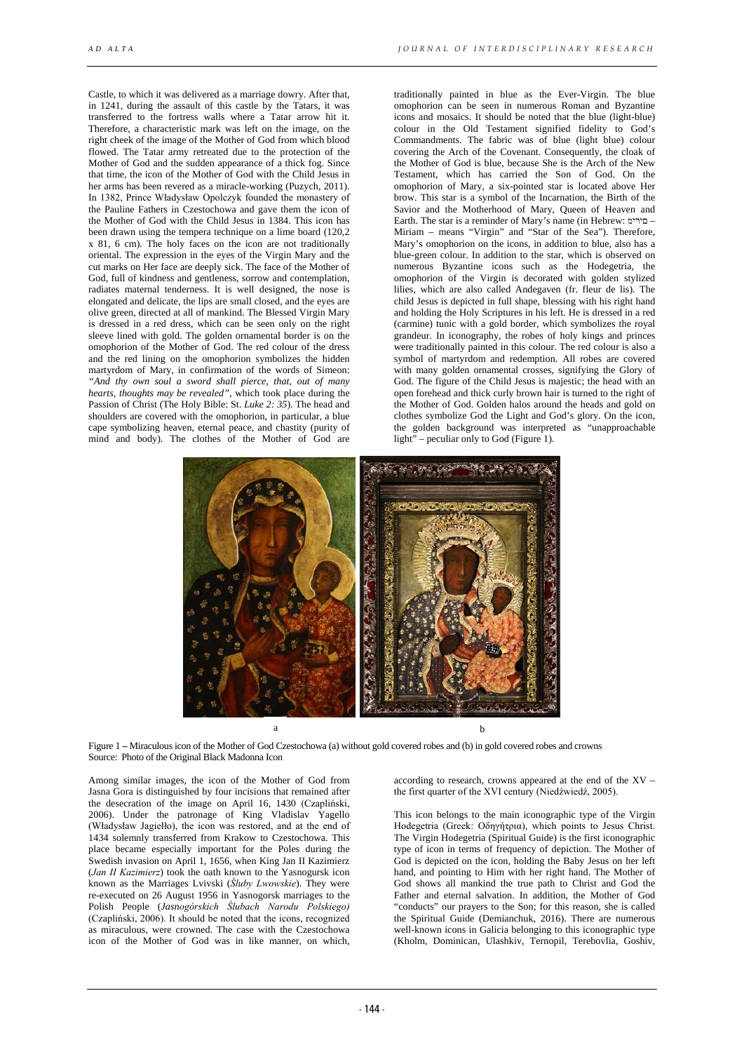Castle, to which it was delivered as a marriage dowry. After that, in 1241, during the assault of this castle by the Tatars, it was transferred to the fortress walls where a Tatar arrow hit it. Therefore, a characteristic mark was left on the image, on the right cheek of the image of the Mother of God from which blood flowed. The Tatar army retreated due to the protection of the Mother of God and the sudden appearance of a thick fog. Since that time, the icon of the Mother of God with the Child Jesus in her arms has been revered as a miracle-working (Puzych, 2011). In 1382, Prince Władysław Opolczyk founded the monastery of the Pauline Fathers in Czestochowa and gave them the icon of the Mother of God with the Child Jesus in 1384. This icon has been drawn using the tempera technique on a lime board (120.2) x 81, 6 cm). The holy faces on the icon are not traditionally oriental. The expression in the eyes of the Virgin Mary and the cut marks on Her face are deeply sick. The face of the Mother of God, full of kindness and gentleness, sorrow and contemplation, radiates maternal tenderness. It is well designed, the nose is elongated and delicate, the lips are small closed, and the eyes are olive green, directed at all of mankind. The Blessed Virgin Mary is dressed in a red dress, which can be seen only on the right sleeve lined with gold. The golden ornamental border is on the omophorion of the Mother of God. The red colour of the dress and the red lining on the omophorion symbolizes the hidden martyrdom of Mary, in confirmation of the words of Simeon: *"And thy own soul a sword shall pierce, that, out of many hearts, thoughts may be revealed"*, which took place during the Passion of Christ (The Holy Bible: St. *Luke 2: 35*). The head and shoulders are covered with the omophorion, in particular, a blue cape symbolizing heaven, eternal peace, and chastity (purity of mind and body). The clothes of the Mother of God are

traditionally painted in blue as the Ever-Virgin. The blue omophorion can be seen in numerous Roman and Byzantine icons and mosaics. It should be noted that the blue (light-blue) colour in the Old Testament signified fidelity to God's Commandments. The fabric was of blue (light blue) colour covering the Arch of the Covenant. Consequently, the cloak of the Mother of God is blue, because She is the Arch of the New Testament, which has carried the Son of God. On the omophorion of Mary, a six-pointed star is located above Her brow. This star is a symbol of the Incarnation, the Birth of the Savior and the Motherhood of Mary, Queen of Heaven and Earth. The star is a reminder of Mary's name (in Hebrew: םירימ– Miriam – means "Virgin" and "Star of the Sea"). Therefore, Mary's omophorion on the icons, in addition to blue, also has a blue-green colour. In addition to the star, which is observed on numerous Byzantine icons such as the Hodegetria, the omophorion of the Virgin is decorated with golden stylized lilies, which are also called Andegaven (fr. fleur de lis). The child Jesus is depicted in full shape, blessing with his right hand and holding the Holy Scriptures in his left. He is dressed in a red (carmine) tunic with a gold border, which symbolizes the royal grandeur. In iconography, the robes of holy kings and princes were traditionally painted in this colour. The red colour is also a symbol of martyrdom and redemption. All robes are covered with many golden ornamental crosses, signifying the Glory of God. The figure of the Child Jesus is majestic; the head with an open forehead and thick curly brown hair is turned to the right of the Mother of God. Golden halos around the heads and gold on clothes symbolize God the Light and God's glory. On the icon, the golden background was interpreted as "unapproachable light" – peculiar only to God (Figure 1).



Figure 1 **–** Miraculous icon of the Mother of God Czestochowa (a) without gold covered robes and (b) in gold covered robes and crowns Source: Photo of the Original Black Madonna Icon

Among similar images, the icon of the Mother of God from Jasna Gora is distinguished by four incisions that remained after the desecration of the image on April 16, 1430 (Czapliński, 2006). Under the patronage of King Vladislav Yagello (Władysław Jagiełło), the icon was restored, and at the end of 1434 solemnly transferred from Krakow to Czestochowa. This place became especially important for the Poles during the Swedish invasion on April 1, 1656, when King Jan II Kazimierz (*Jan ІІ Kazimierz*) took the oath known to the Yasnogursk icon known as the Marriages Lvivski (*Śluby Lwowskie*). They were re-executed on 26 August 1956 in Yasnogorsk marriages to the Polish People (*Jasnogórskich Ślubach Narodu Polskiego)* (Czapliński, 2006). It should be noted that the icons, recognized as miraculous, were crowned. The case with the Czestochowa icon of the Mother of God was in like manner, on which,

according to research, crowns appeared at the end of the XV – the first quarter of the XVI century (Niedźwiedź, 2005).

This icon belongs to the main iconographic type of the Virgin Hodegetria (Greek: Οδηγήτρια), which points to Jesus Christ. The Virgin Hodegetria (Spiritual Guide) is the first iconographic type of icon in terms of frequency of depiction. The Mother of God is depicted on the icon, holding the Baby Jesus on her left hand, and pointing to Him with her right hand. The Mother of God shows all mankind the true path to Christ and God the Father and eternal salvation. In addition, the Mother of God "conducts" our prayers to the Son; for this reason, she is called the Spiritual Guide (Demianchuk, 2016). There are numerous well-known icons in Galicia belonging to this iconographic type (Kholm, Dominican, Ulashkiv, Ternopil, Terebovlia, Goshiv,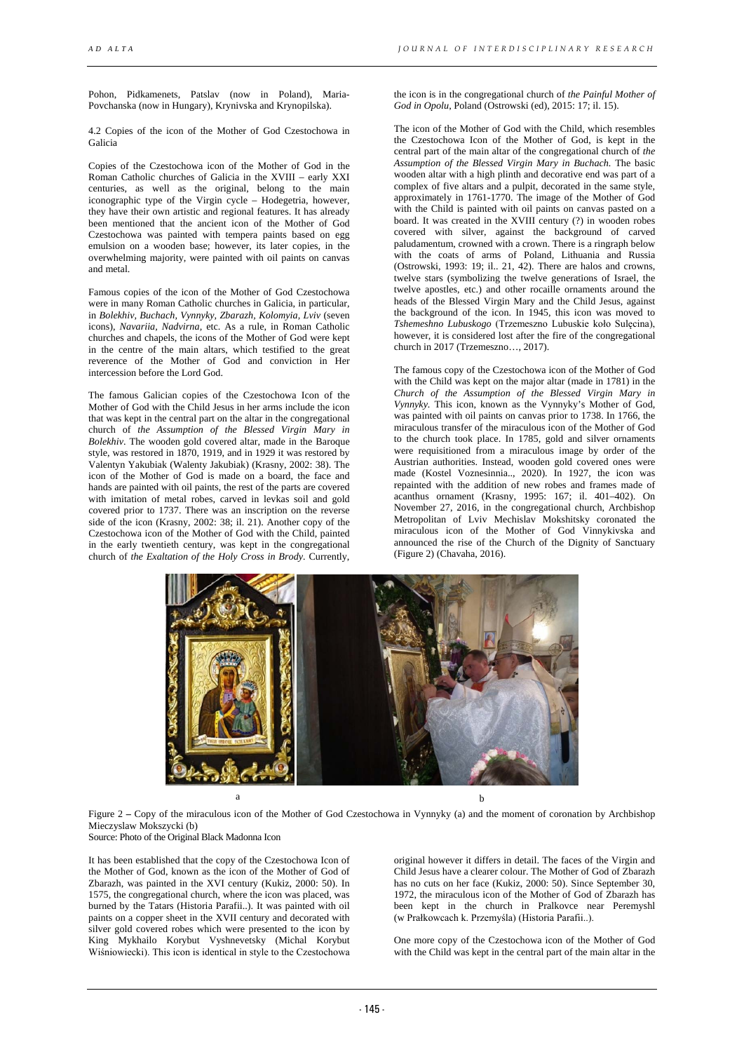Pohon, Pidkamenets, Patslav (now in Poland), Maria-Povchanska (now in Hungary), Krynivska and Krynopilska).

4.2 Copies of the icon of the Mother of God Czestochowa in Galicia

Copies of the Czestochowa icon of the Mother of God in the Roman Catholic churches of Galicia in the XVIII – early XXI centuries, as well as the original, belong to the main iconographic type of the Virgin cycle – Hodegetria, however, they have their own artistic and regional features. It has already been mentioned that the ancient icon of the Mother of God Czestochowa was painted with tempera paints based on egg emulsion on a wooden base; however, its later copies, in the overwhelming majority, were painted with oil paints on canvas and metal.

Famous copies of the icon of the Mother of God Czestochowa were in many Roman Catholic churches in Galicia, in particular, in *Bolekhiv, Buchach, Vynnyky, Zbarazh, Kolomyia, Lviv* (seven icons), *Navariia, Nadvirna,* etc. As a rule, in Roman Catholic churches and chapels, the icons of the Mother of God were kept in the centre of the main altars, which testified to the great reverence of the Mother of God and conviction in Her intercession before the Lord God.

The famous Galician copies of the Czestochowa Icon of the Mother of God with the Child Jesus in her arms include the icon that was kept in the central part on the altar in the congregational church of *the Assumption of the Blessed Virgin Mary in Bolekhiv*. The wooden gold covered altar, made in the Baroque style, was restored in 1870, 1919, and in 1929 it was restored by Valentyn Yakubiak (Walenty Jakubiak) (Krasny, 2002: 38). The icon of the Mother of God is made on a board, the face and hands are painted with oil paints, the rest of the parts are covered with imitation of metal robes, carved in levkas soil and gold covered prior to 1737. There was an inscription on the reverse side of the icon (Krasny, 2002: 38; il. 21). Another copy of the Czestochowa icon of the Mother of God with the Child, painted in the early twentieth century, was kept in the congregational church of *the Exaltation of the Holy Cross in Brody.* Currently,

the icon is in the congregational church of *the Painful Mother of God in Opolu*, Poland (Ostrowski (ed), 2015: 17; il. 15).

The icon of the Mother of God with the Child, which resembles the Czestochowa Icon of the Mother of God, is kept in the central part of the main altar of the congregational church of *the Assumption of the Blessed Virgin Mary in Buchach.* The basic wooden altar with a high plinth and decorative end was part of a complex of five altars and a pulpit, decorated in the same style, approximately in 1761-1770. The image of the Mother of God with the Child is painted with oil paints on canvas pasted on a board. It was created in the XVIII century (?) in wooden robes covered with silver, against the background of carved paludamentum, crowned with a crown. There is a ringraph below with the coats of arms of Poland, Lithuania and Russia (Ostrowski, 1993: 19; il.. 21, 42). There are halos and crowns, twelve stars (symbolizing the twelve generations of Israel, the twelve apostles, etc.) and other rocaille ornaments around the heads of the Blessed Virgin Mary and the Child Jesus, against the background of the icon. In 1945, this icon was moved to *Tshemeshno Lubuskogo* (Trzemeszno Lubuskie koło Sulęcina), however, it is considered lost after the fire of the congregational church in 2017 (Trzemeszno…, 2017).

The famous copy of the Czestochowa icon of the Mother of God with the Child was kept on the major altar (made in 1781) in the *Church of the Assumption of the Blessed Virgin Mary in Vynnyky.* This icon, known as the Vynnyky's Mother of God, was painted with oil paints on canvas prior to 1738. In 1766, the miraculous transfer of the miraculous icon of the Mother of God to the church took place. In 1785, gold and silver ornaments were requisitioned from a miraculous image by order of the Austrian authorities. Instead, wooden gold covered ones were made (Kostel Voznesinnia.., 2020). In 1927, the icon was repainted with the addition of new robes and frames made of acanthus ornament (Krasny, 1995: 167; il. 401–402). On November 27, 2016, in the congregational church, Archbishop Metropolitan of Lviv Mechislav Mokshitsky coronated the miraculous icon of the Mother of God Vinnykivska and announced the rise of the Church of the Dignity of Sanctuary (Figure 2) (Chavaha, 2016).



Figure 2 **–** Copy of the miraculous icon of the Mother of God Czestochowa in Vynnyky (a) and the moment of coronation by Archbishop Mieczyslaw Mokszycki (b)

Source: Photo of the Original Black Madonna Icon

It has been established that the copy of the Czestochowa Icon of the Mother of God, known as the icon of the Mother of God of Zbarazh, was painted in the XVI century (Kukiz, 2000: 50). In 1575, the congregational church, where the icon was placed, was burned by the Tatars (Historia Parafii..). It was painted with oil paints on a copper sheet in the XVII century and decorated with silver gold covered robes which were presented to the icon by King Mykhailo Korybut Vyshnevetsky (Michal Korybut Wiśniowiecki). This icon is identical in style to the Czestochowa

original however it differs in detail. The faces of the Virgin and Child Jesus have a clearer colour. The Mother of God of Zbarazh has no cuts on her face (Kukiz, 2000: 50). Since September 30, 1972, the miraculous icon of the Mother of God of Zbarazh has been kept in the church in Pralkovce near Peremyshl (w Prałkowcach k. Przemyśla) (Historia Parafii..).

One more copy of the Czestochowa icon of the Mother of God with the Child was kept in the central part of the main altar in the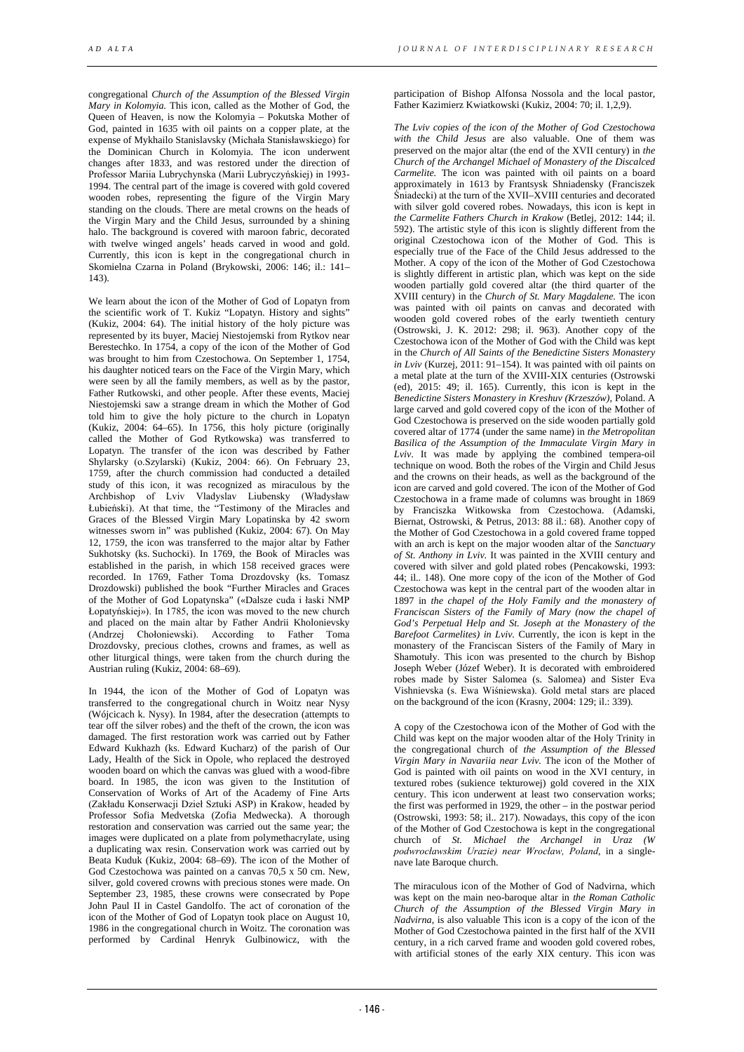congregational *Church of the Assumption of the Blessed Virgin Mary in Kolomyia.* This icon, called as the Mother of God, the Queen of Heaven, is now the Kolomyia – Pokutska Mother of God, painted in 1635 with oil paints on a copper plate, at the expense of Mykhailo Stanislavsky (Michała Stanisławskiego) for the Dominican Church in Kolomyia. The icon underwent changes after 1833, and was restored under the direction of Professor Mariia Lubrychynska (Marii Lubryczyńskiej) in 1993- 1994. The central part of the image is covered with gold covered wooden robes, representing the figure of the Virgin Mary standing on the clouds. There are metal crowns on the heads of the Virgin Mary and the Child Jesus, surrounded by a shining halo. The background is covered with maroon fabric, decorated with twelve winged angels' heads carved in wood and gold. Currently, this icon is kept in the congregational church in Skomielna Czarna in Poland (Brykowski, 2006: 146; il.: 141–  $143$ 

We learn about the icon of the Mother of God of Lopatyn from the scientific work of T. Kukiz "Lopatyn. History and sights" (Kukiz, 2004: 64). The initial history of the holy picture was represented by its buyer, Maciej Niestojemski from Rytkov near Berestechko. In 1754, a copy of the icon of the Mother of God was brought to him from Czestochowa. On September 1, 1754, his daughter noticed tears on the Face of the Virgin Mary, which were seen by all the family members, as well as by the pastor, Father Rutkowski, and other people. After these events, Maciej Niestojemski saw a strange dream in which the Mother of God told him to give the holy picture to the church in Lopatyn (Kukiz, 2004: 64–65). In 1756, this holy picture (originally called the Mother of God Rytkowska) was transferred to Lopatyn. The transfer of the icon was described by Father Shylarsky (о.Szylarski) (Kukiz, 2004: 66). On February 23, 1759, after the church commission had conducted a detailed study of this icon, it was recognized as miraculous by the Archbishop of Lviv Vladyslav Liubensky (Władysław Łubieński). At that time, the "Testimony of the Miracles and Graces of the Blessed Virgin Mary Lopatinska by 42 sworn witnesses sworn in" was published (Kukiz, 2004: 67). On May 12, 1759, the icon was transferred to the major altar by Father Sukhotsky (ks. Suchocki). In 1769, the Book of Miracles was established in the parish, in which 158 received graces were recorded. In 1769, Father Toma Drozdovsky (ks. Tomasz Drozdowski) published the book "Further Miracles and Graces of the Mother of God Lopatynska" («Dalsze cuda i łaski NMP Łopatyńskiej»). In 1785, the icon was moved to the new church and placed on the main altar by Father Andrii Kholonievsky (Andrzej Chołoniewski). According to Father Toma Drozdovsky, precious clothes, crowns and frames, as well as other liturgical things, were taken from the church during the Austrian ruling (Kukiz, 2004: 68–69).

In 1944, the icon of the Mother of God of Lopatyn was transferred to the congregational church in Woitz near Nysy (Wójcicach k. Nysy). In 1984, after the desecration (attempts to tear off the silver robes) and the theft of the crown, the icon was damaged. The first restoration work was carried out by Father Edward Kukhazh (ks. Edward Kucharz) of the parish of Our Lady, Health of the Sick in Opole, who replaced the destroyed wooden board on which the canvas was glued with a wood-fibre board. In 1985, the icon was given to the Institution of Conservation of Works of Art of the Academy of Fine Arts (Zakładu Konserwacji Dzieł Sztuki ASP) in Krakow, headed by Professor Sofia Medvetska (Zofia Medwecka). A thorough restoration and conservation was carried out the same year; the images were duplicated on a plate from polymethacrylate, using a duplicating wax resin. Conservation work was carried out by Beata Kuduk (Kukiz, 2004: 68–69). The icon of the Mother of God Czestochowa was painted on a canvas 70,5 x 50 cm. New, silver, gold covered crowns with precious stones were made. On September 23, 1985, these crowns were consecrated by Pope John Paul II in Castel Gandolfo. The act of coronation of the icon of the Mother of God of Lopatyn took place on August 10, 1986 in the congregational church in Woitz. The coronation was performed by Cardinal Henryk Gulbinowicz, with the

participation of Bishop Alfonsa Nossola and the local pastor, Father Kazimierz Kwiatkowski (Kukiz, 2004: 70; il. 1,2,9).

*The Lviv copies of the icon of the Mother of God Czestochowa with the Child Jesus* are also valuable. One of them was preserved on the major altar (the end of the XVII century) in *the Church of the Archangel Michael of Monastery of the Discalced Carmelite.* The icon was painted with oil paints on a board approximately in 1613 by Frantsysk Shniadensky (Franciszek Śniadecki) at the turn of the XVII–XVIII centuries and decorated with silver gold covered robes. Nowadays, this icon is kept in *the Carmelite Fathers Church in Krakow* (Betlej, 2012: 144; il. 592). The artistic style of this icon is slightly different from the original Czestochowa icon of the Mother of God. This is especially true of the Face of the Child Jesus addressed to the Mother. A copy of the icon of the Mother of God Czestochowa is slightly different in artistic plan, which was kept on the side wooden partially gold covered altar (the third quarter of the XVIII century) in the *Church of St. Mary Magdalene.* The icon was painted with oil paints on canvas and decorated with wooden gold covered robes of the early twentieth century (Ostrowski, J. K. 2012: 298; il. 963). Another copy of the Czestochowa icon of the Mother of God with the Child was kept in the *Church of All Saints of the Benedictine Sisters Monastery in Lviv* (Kurzej, 2011: 91–154). It was painted with oil paints on a metal plate at the turn of the XVIII-XIX centuries (Ostrowski (ed),  $2015: 49$ ; il. 165). Currently, this icon is kept in the *Benedictine Sisters Monastery in Kreshuv (Krzeszów),* Poland. A large carved and gold covered copy of the icon of the Mother of God Czestochowa is preserved on the side wooden partially gold covered altar of 1774 (under the same name) in *the Metropolitan Basilica of the Assumption of the Immaculate Virgin Mary in Lviv*. It was made by applying the combined tempera-oil technique on wood. Both the robes of the Virgin and Child Jesus and the crowns on their heads, as well as the background of the icon are carved and gold covered. The icon of the Mother of God Czestochowa in a frame made of columns was brought in 1869 by Franciszka Witkowska from Czestochowa. (Adamski, Biernat, Ostrowski, & Petrus, 2013: 88 il.: 68). Another copy of the Mother of God Czestochowa in a gold covered frame topped with an arch is kept on the major wooden altar of the *Sanctuary of St. Anthony in Lviv.* It was painted in the XVIII century and covered with silver and gold plated robes (Pencakowski, 1993: 44; il.. 148). One more copy of the icon of the Mother of God Czestochowa was kept in the central part of the wooden altar in 1897 in *the chapel of the Holy Family and the monastery of Franciscan Sisters of the Family of Mary (now the chapel of God's Perpetual Help and St. Joseph at the Monastery of the Barefoot Carmelites) in Lviv.* Currently, the icon is kept in the monastery of the Franciscan Sisters of the Family of Mary in Shamotuły. This icon was presented to the church by Bishop Joseph Weber (Józef Weber). It is decorated with embroidered robes made by Sister Salomea (s. Salomea) and Sister Eva Vishnievska (s. Ewa Wiśniewska). Gold metal stars are placed on the background of the icon (Krasny, 2004: 129; il.: 339).

A copy of the Czestochowa icon of the Mother of God with the Child was kept on the major wooden altar of the Holy Trinity in the congregational church of *the Assumption of the Blessed Virgin Mary in Navariia near Lviv.* The icon of the Mother of God is painted with oil paints on wood in the XVI century, in textured robes (sukience tekturowej) gold covered in the XIX century. This icon underwent at least two conservation works; the first was performed in 1929, the other – in the postwar period (Ostrowski, 1993: 58; il.. 217). Nowadays, this copy of the icon of the Mother of God Czestochowa is kept in the congregational church of *St. Michael the Archangel in Uraz (W podwrocławskim Urazie) near Wrocław, Poland*, in a singlenave late Baroque church.

The miraculous icon of the Mother of God of Nadvirna, which was kept on the main neo-baroque altar in *the Roman Catholic Church of the Assumption of the Blessed Virgin Mary in Nadvirna*, is also valuable This icon is a copy of the icon of the Mother of God Czestochowa painted in the first half of the XVII century, in a rich carved frame and wooden gold covered robes, with artificial stones of the early XIX century. This icon was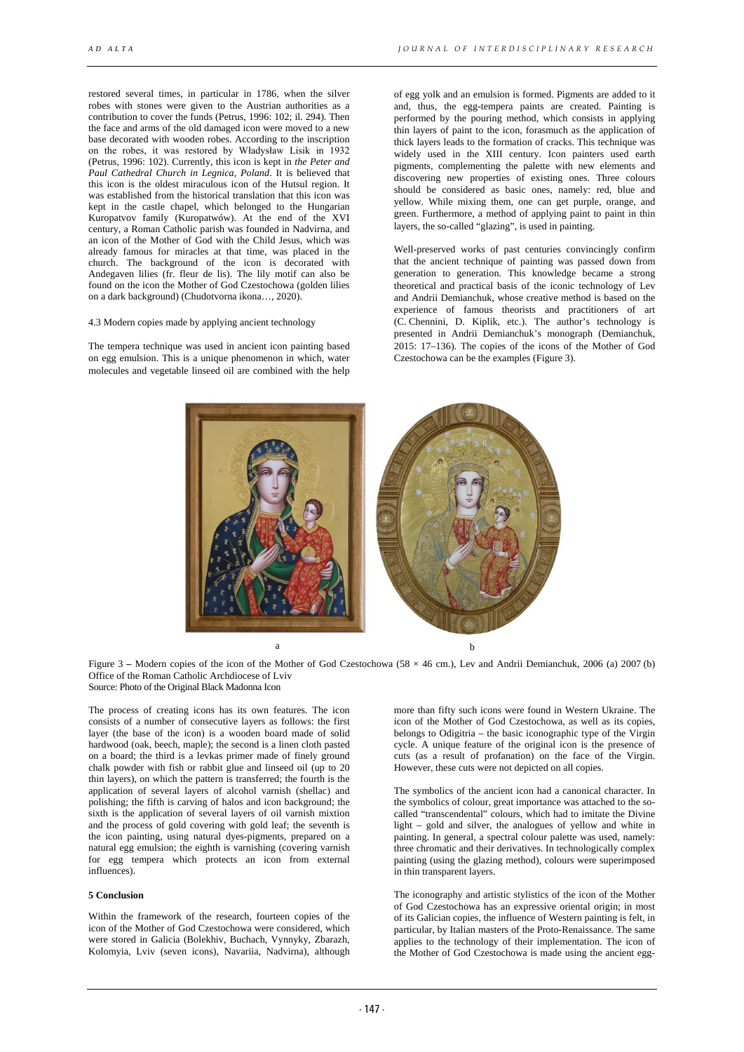restored several times, in particular in 1786, when the silver robes with stones were given to the Austrian authorities as a contribution to cover the funds (Petrus, 1996: 102; il. 294). Then the face and arms of the old damaged icon were moved to a new base decorated with wooden robes. According to the inscription on the robes, it was restored by Władysław Lisik in 1932 (Petrus, 1996: 102). Currently, this icon is kept in *the Peter and Paul Cathedral Church in Legnica, Poland*. It is believed that this icon is the oldest miraculous icon of the Hutsul region. It was established from the historical translation that this icon was kept in the castle chapel, which belonged to the Hungarian Kuropatvov family (Kuropatwów). At the end of the XVI century, a Roman Catholic parish was founded in Nadvirna, and an icon of the Mother of God with the Child Jesus, which was already famous for miracles at that time, was placed in the church. The background of the icon is decorated with Andegaven lilies (fr. fleur de lis). The lily motif can also be found on the icon the Mother of God Czestochowa (golden lilies on a dark background) (Chudotvorna ikona…, 2020).

#### 4.3 Modern copies made by applying ancient technology

The tempera technique was used in ancient icon painting based on egg emulsion. This is a unique phenomenon in which, water molecules and vegetable linseed oil are combined with the help

of egg yolk and an emulsion is formed. Pigments are added to it and, thus, the egg-tempera paints are created. Painting is performed by the pouring method, which consists in applying thin layers of paint to the icon, forasmuch as the application of thick layers leads to the formation of cracks. This technique was widely used in the XIII century. Icon painters used earth pigments, complementing the palette with new elements and discovering new properties of existing ones. Three colours should be considered as basic ones, namely: red, blue and yellow. While mixing them, one can get purple, orange, and green. Furthermore, a method of applying paint to paint in thin layers, the so-called "glazing", is used in painting.

Well-preserved works of past centuries convincingly confirm that the ancient technique of painting was passed down from generation to generation. This knowledge became a strong theoretical and practical basis of the iconic technology of Lev and Andrii Demianchuk, whose creative method is based on the experience of famous theorists and practitioners of art (C. Chennini, D. Kiplik, etc.). The author's technology is presented in Andrii Demianchuk's monograph (Demianchuk, 2015: 17–136). The copies of the icons of the Mother of God Czestochowa can be the examples (Figure 3).



a b

Figure 3 – Modern copies of the icon of the Mother of God Czestochowa (58 × 46 cm.), Lev and Andrii Demianchuk, 2006 (a) 2007 (b) Office of the Roman Catholic Archdiocese of Lviv Source: Photo of the Original Black Madonna Icon

The process of creating icons has its own features. The icon consists of a number of consecutive layers as follows: the first layer (the base of the icon) is a wooden board made of solid hardwood (oak, beech, maple); the second is a linen cloth pasted on a board; the third is a levkas primer made of finely ground chalk powder with fish or rabbit glue and linseed oil (up to 20 thin layers), on which the pattern is transferred; the fourth is the application of several layers of alcohol varnish (shellac) and polishing; the fifth is carving of halos and icon background; the sixth is the application of several layers of oil varnish mixtion and the process of gold covering with gold leaf; the seventh is the icon painting, using natural dyes-pigments, prepared on a natural egg emulsion; the eighth is varnishing (covering varnish for egg tempera which protects an icon from external influences).

## **5 Conclusion**

Within the framework of the research, fourteen copies of the icon of the Mother of God Czestochowa were considered, which were stored in Galicia (Bolekhiv, Buchach, Vynnyky, Zbarazh, Kolomyia, Lviv (seven icons), Navariia, Nadvirna), although

more than fifty such icons were found in Western Ukraine. The icon of the Mother of God Czestochowa, as well as its copies, belongs to Odigitria – the basic iconographic type of the Virgin cycle. A unique feature of the original icon is the presence of cuts (as a result of profanation) on the face of the Virgin. However, these cuts were not depicted on all copies.

The symbolics of the ancient icon had a canonical character. In the symbolics of colour, great importance was attached to the socalled "transcendental" colours, which had to imitate the Divine light – gold and silver, the analogues of yellow and white in painting. In general, a spectral colour palette was used, namely: three chromatic and their derivatives. In technologically complex painting (using the glazing method), colours were superimposed in thin transparent layers.

The iconography and artistic stylistics of the icon of the Mother of God Czestochowa has an expressive oriental origin; in most of its Galician copies, the influence of Western painting is felt, in particular, by Italian masters of the Proto-Renaissance. The same applies to the technology of their implementation. The icon of the Mother of God Czestochowa is made using the ancient egg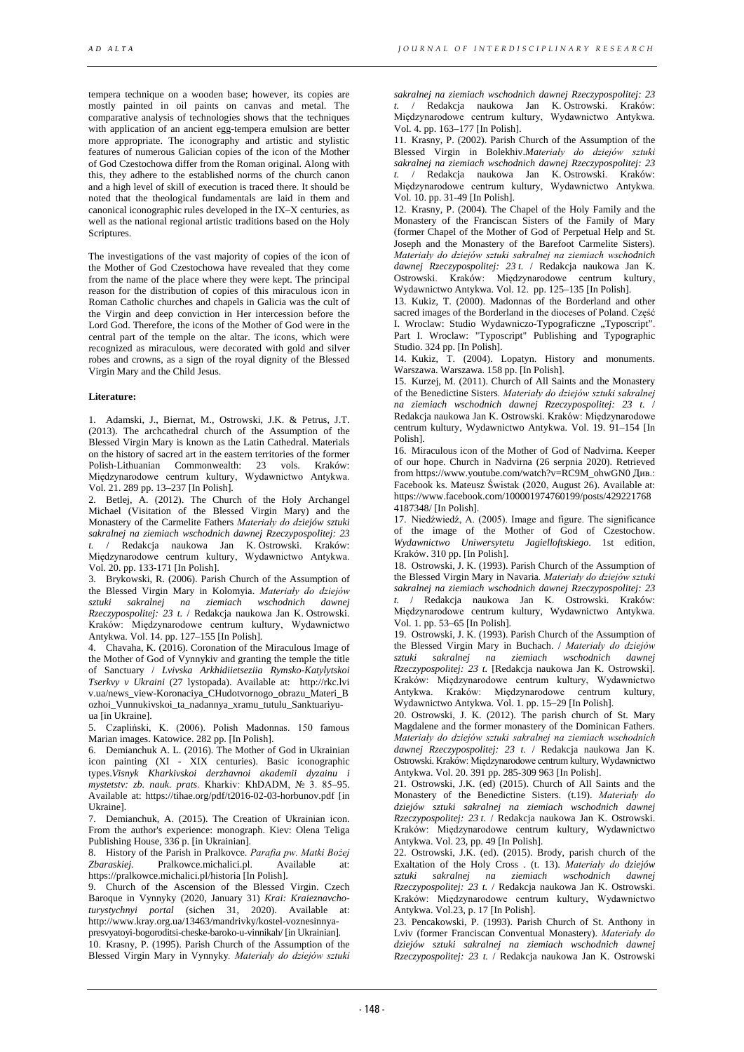tempera technique on a wooden base; however, its copies are mostly painted in oil paints on canvas and metal. The comparative analysis of technologies shows that the techniques with application of an ancient egg-tempera emulsion are better more appropriate. The iconography and artistic and stylistic features of numerous Galician copies of the icon of the Mother of God Czestochowa differ from the Roman original. Along with this, they adhere to the established norms of the church canon and a high level of skill of execution is traced there. It should be noted that the theological fundamentals are laid in them and canonical iconographic rules developed in the ІХ–Х centuries, as well as the national regional artistic traditions based on the Holy Scriptures.

The investigations of the vast majority of copies of the icon of the Mother of God Czestochowa have revealed that they come from the name of the place where they were kept. The principal reason for the distribution of copies of this miraculous icon in Roman Catholic churches and chapels in Galicia was the cult of the Virgin and deep conviction in Her intercession before the Lord God. Therefore, the icons of the Mother of God were in the central part of the temple on the altar. The icons, which were recognized as miraculous, were decorated with gold and silver robes and crowns, as a sign of the royal dignity of the Blessed Virgin Mary and the Child Jesus.

### **Literature:**

1. Adamski, J., Biernat, M., Ostrowski, J.K. & Petrus, J.T. (2013). The archcathedral church of the Assumption of the Blessed Virgin Mary is known as the Latin Cathedral. Materials on the history of sacred art in the eastern territories of the former Polish-Lithuanian Commonwealth: 23 vols. Kraków: Międzynarodowe centrum kultury, Wydawnictwo Antykwa. Vol. 21. 289 pp. 13–237 [In Polish].

2. Betlej, A. (2012). The Church of the Holy Archangel Michael (Visitation of the Blessed Virgin Mary) and the Monastery of the Carmelite Fathers *Materiały do dziejów sztuki sakralnej na ziemiach wschodnich dawnej Rzeczypospolitej: 23 t.* / Redakcja naukowa Jan K. Ostrowski. Kraków: Międzynarodowe centrum kultury, Wydawnictwo Antykwa. Vol. 20. pp. 133-171 [In Polish].

3. Brykowski, R. (2006). Parish Church of the Assumption of the Blessed Virgin Mary in Kolomyia. *Materiały do dziejów sztuki sakralnej na ziemiach wschodnich dawnej Rzeczypospolitej: 23 t.* / Redakcja naukowa Jan K. Ostrowski. Kraków: Międzynarodowe centrum kultury, Wydawnictwo Antykwa. Vol. 14. pp. 127–155 [In Polish].

4. Chavaha, K. (2016). Coronation of the Miraculous Image of the Mother of God of Vynnykiv and granting the temple the title of Sanctuary / *Lvivska Arkhidiietseziia Rymsko-Katylytskoi Tserkvy v Ukraini* (27 lystopada). Available at: http://rkc.lvi v.ua/news\_view-Koronaciya\_CHudotvornogo\_obrazu\_Materi\_B ozhoi\_Vunnukivskoi\_ta\_nadannya\_xramu\_tutulu\_Sanktuariyuua [in Ukraine].

5. Czapliński, K. (2006). Polish Madonnas. 150 famous Marian images. Katowice. 282 pp. [In Polish].

6. Demianchuk A. L. (2016). The Mother of God in Ukrainian icon painting (XI - XIX centuries). Basic iconographic types.*Visnyk Kharkivskoi derzhavnoi akademii dyzainu i mystetstv: zb. nauk. prats*. Kharkiv: KhDADM, № 3. 85–95. Available at: https://tihae.org/pdf/t2016-02-03-horbunov.pdf [in Ukraine].

7. Demianchuk, A. (2015). The Creation of Ukrainian icon. From the author's experience: monograph. Kiev: Olena Teliga Publishing House, 336 p. [in Ukrainian].

8. History of the Parish in Pralkovce. *Parafia pw. Matki Bożej Zbaraskiej.* Pralkowce.michalici.pl. Available at: https://pralkowce.michalici.pl/historia [In Polish].

9. Church of the Ascension of the Blessed Virgin. Czech Baroque in Vynnyky (2020, January 31) *Krai: Kraieznavchoturystychnyi portal* (sichen 31, 2020). Available at: http://www.kray.org.ua/13463/mandrivky/kostel-voznesinnyapresvyatoyi-bogoroditsi-cheske-baroko-u-vinnikah/ [in Ukrainian].

10. Krasny, P. (1995). Parish Church of the Assumption of the Blessed Virgin Mary in Vynnyky*. Materiały do dziejów sztuki*  *sakralnej na ziemiach wschodnich dawnej Rzeczypospolitej: 23 t.* / Redakcja naukowa Jan K. Ostrowski. Kraków: Międzynarodowe centrum kultury, Wydawnictwo Antykwa. Vol. 4. pp. 163–177 [In Polish].

11. Krasny, P. (2002). Parish Church of the Assumption of the Blessed Virgin in Bolekhiv.*Materiały do dziejów sztuki sakralnej na ziemiach wschodnich dawnej Rzeczypospolitej: 23 t.* / Redakcja naukowa Jan K. Ostrowski. Kraków: Międzynarodowe centrum kultury, Wydawnictwo Antykwa. Vol. 10. pp. 31-49 [In Polish].

12. Krasny, P. (2004). The Chapel of the Holy Family and the Monastery of the Franciscan Sisters of the Family of Mary (former Chapel of the Mother of God of Perpetual Help and St. Joseph and the Monastery of the Barefoot Carmelite Sisters). *Materiały do dziejów sztuki sakralnej na ziemiach wschodnich dawnej Rzeczypospolitej: 23 t.* / Redakcja naukowa Jan K. Ostrowski. Kraków: Międzynarodowe centrum kultury, Wydawnictwo Antykwa. Vol. 12. pp. 125–135 [In Polish].

13. Kukiz, T. (2000). Madonnas of the Borderland and other sacred images of the Borderland in the dioceses of Poland. Cześć I. Wroclaw: Studio Wydawniczo-Typograficzne "Typoscript". Part I. Wroclaw: "Typoscript" Publishing and Typographic Studio. 324 pp. [In Polish].

14. Kukiz, T. (2004). Lopatyn. History and monuments. Warszawa. Warszawa. 158 pp. [In Polish].

15. Kurzej, M. (2011). Church of All Saints and the Monastery of the Benedictine Sisters*. Materiały do dziejów sztuki sakralnej na ziemiach wschodnich dawnej Rzeczypospolitej: 23 t.* / Redakcja naukowa Jan K. Ostrowski. Kraków: Międzynarodowe centrum kultury, Wydawnictwo Antykwa. Vol. 19. 91–154 [In Polish].

16. Miraculous icon of the Mother of God of Nadvirna. Keeper of our hope. Church in Nadvirna (26 serpnia 2020). Retrieved from https://www.youtube.com/watch?v=RC9M\_ohwGN0 Див.: Facebook ks. Mateusz Świstak (2020, August 26). Available at: https://www.facebook.com/100001974760199/posts/429221768 4187348/ [In Polish].

17. Niedźwiedź, A. (2005). Image and figure. The significance of the image of the Mother of God of Czestochow. *Wydawnictwo Uniwersytetu Jagielloftskiego*. 1st edition, Kraków. 310 pp. [In Polish].

18. Ostrowski, J. K. (1993). Parish Church of the Assumption of the Blessed Virgin Mary in Navaria*. Materiały do dziejów sztuki sakralnej na ziemiach wschodnich dawnej Rzeczypospolitej: 23 t.* / Redakcja naukowa Jan K. Ostrowski. Kraków: Międzynarodowe centrum kultury, Wydawnictwo Antykwa. Vol. 1. pp. 53–65 [In Polish].

19. Ostrowski, J. K. (1993). Parish Church of the Assumption of the Blessed Virgin Mary in Buchach. / *Materiały do dziejów sztuki sakralnej na ziemiach wschodnich dawnej Rzeczypospolitej: 23 t.* [Redakcja naukowa Jan K. Ostrowski]. Kraków: Międzynarodowe centrum kultury, Wydawnictwo Antykwa. Kraków: Międzynarodowe centrum kultury, Wydawnictwo Antykwa. Vol. 1. pp. 15–29 [In Polish].

20. Ostrowski, J. K. (2012). The parish church of St. Mary Magdalene and the former monastery of the Dominican Fathers*. Materiały do dziejów sztuki sakralnej na ziemiach wschodnich dawnej Rzeczypospolitej: 23 t.* / Redakcja naukowa Jan K. Ostrowski. Kraków: Międzynarodowe centrum kultury, Wydawnictwo Antykwa. Vol. 20. 391 pp. 285-309 963 [In Polish].

21. Ostrowski, J.K. (ed) (2015). Church of All Saints and the Monastery of the Benedictine Sisters. (t.19). *Materiały do dziejów sztuki sakralnej na ziemiach wschodnich dawnej Rzeczypospolitej: 23 t.* / Redakcja naukowa Jan K. Ostrowski. Kraków: Międzynarodowe centrum kultury, Wydawnictwo Antykwa. Vol. 23, pp. 49 [In Polish].

22. Ostrowski, J.K. (ed). (2015). Brody, parish church of the Exaltation of the Holy Cross . (t. 13). *Materiały do dziejów sztuki sakralnej na ziemiach wschodnich dawnej Rzeczypospolitej: 23 t.* / Redakcja naukowa Jan K. Ostrowski. Kraków: Międzynarodowe centrum kultury, Wydawnictwo Antykwa. Vol.23, p. 17 [In Polish].

23. Pencakowski, P. (1993). Parish Church of St. Anthony in Lviv (former Franciscan Conventual Monastery). *Materiały do dziejów sztuki sakralnej na ziemiach wschodnich dawnej Rzeczypospolitej: 23 t.* / Redakcja naukowa Jan K. Ostrowski